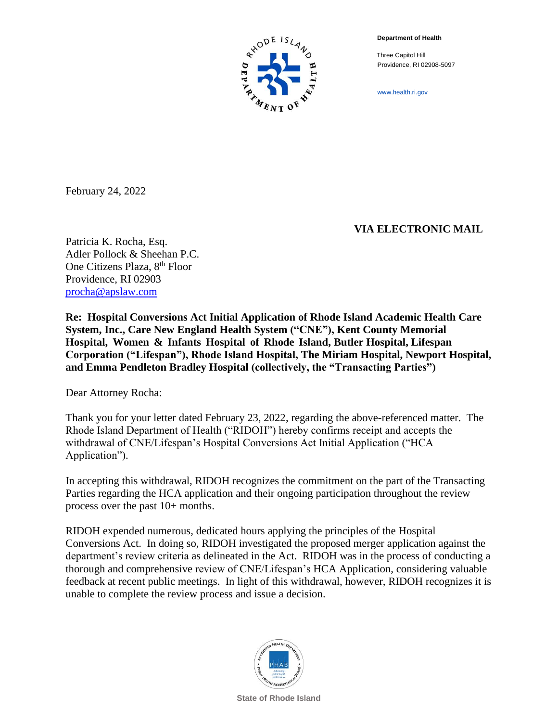**Department of Health**

 Three Capitol Hill Providence, RI 02908-5097

RHODE ISL

www.health.ri.gov

February 24, 2022

## **VIA ELECTRONIC MAIL**

Patricia K. Rocha, Esq. Adler Pollock & Sheehan P.C. One Citizens Plaza, 8<sup>th</sup> Floor Providence, RI 02903 [procha@apslaw.com](mailto:procha@apslaw.com)

**Re: Hospital Conversions Act Initial Application of Rhode Island Academic Health Care System, Inc., Care New England Health System ("CNE"), Kent County Memorial Hospital, Women & Infants Hospital of Rhode Island, Butler Hospital, Lifespan Corporation ("Lifespan"), Rhode Island Hospital, The Miriam Hospital, Newport Hospital, and Emma Pendleton Bradley Hospital (collectively, the "Transacting Parties")**

Dear Attorney Rocha:

Thank you for your letter dated February 23, 2022, regarding the above-referenced matter. The Rhode Island Department of Health ("RIDOH") hereby confirms receipt and accepts the withdrawal of CNE/Lifespan's Hospital Conversions Act Initial Application ("HCA Application").

In accepting this withdrawal, RIDOH recognizes the commitment on the part of the Transacting Parties regarding the HCA application and their ongoing participation throughout the review process over the past 10+ months.

RIDOH expended numerous, dedicated hours applying the principles of the Hospital Conversions Act. In doing so, RIDOH investigated the proposed merger application against the department's review criteria as delineated in the Act. RIDOH was in the process of conducting a thorough and comprehensive review of CNE/Lifespan's HCA Application, considering valuable feedback at recent public meetings. In light of this withdrawal, however, RIDOH recognizes it is unable to complete the review process and issue a decision.